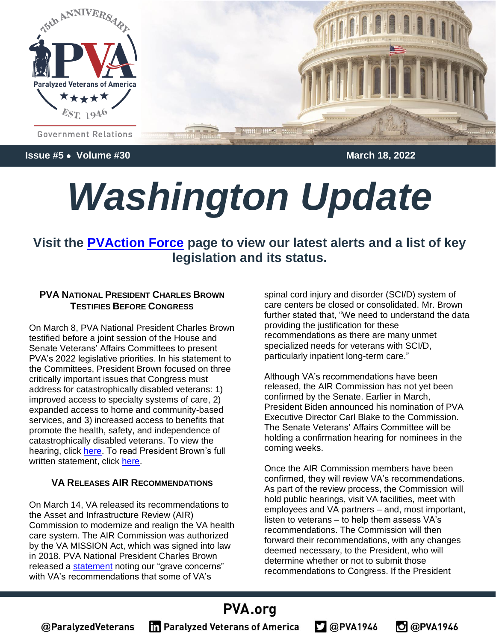

**Issue #5** • **Volume #30 March 18, 2022**

# *Washington Update*

**Visit the [PVAction Force](https://pva.org/research-resources/votervoice/) page to view our latest alerts and a list of key legislation and its status.**

#### **PVA NATIONAL PRESIDENT CHARLES BROWN TESTIFIES BEFORE CONGRESS**

On March 8, PVA National President Charles Brown testified before a joint session of the House and Senate Veterans' Affairs Committees to present PVA's 2022 legislative priorities. In his statement to the Committees, President Brown focused on three critically important issues that Congress must address for catastrophically disabled veterans: 1) improved access to specialty systems of care, 2) expanded access to home and community-based services, and 3) increased access to benefits that promote the health, safety, and independence of catastrophically disabled veterans. To view the hearing, click [here.](https://www.veterans.senate.gov/hearings/legislative-presentation-of-the-american-legion-and-multi-vsos-pva-sva-moaa-gsw-ngaus-taps-mmaa-adbc-ms3-8-22) To read President Brown's full written statement, click [here.](https://www.veterans.senate.gov/download/pva-testimony-030822)

#### **VA RELEASES AIR RECOMMENDATIONS**

On March 14, VA released its recommendations to the Asset and Infrastructure Review (AIR) Commission to modernize and realign the VA health care system. The AIR Commission was authorized by the VA MISSION Act, which was signed into law in 2018. PVA National President Charles Brown released a [statement](https://pva.org/news-and-media-center/recent-news/statement-veterans-affair-health-care-infrastructure-recommendations-air-commission/) noting our "grave concerns" with VA's recommendations that some of VA's

spinal cord injury and disorder (SCI/D) system of care centers be closed or consolidated. Mr. Brown further stated that, "We need to understand the data providing the justification for these recommendations as there are many unmet specialized needs for veterans with SCI/D, particularly inpatient long-term care."

Although VA's recommendations have been released, the AIR Commission has not yet been confirmed by the Senate. Earlier in March, President Biden announced his nomination of PVA Executive Director Carl Blake to the Commission. The Senate Veterans' Affairs Committee will be holding a confirmation hearing for nominees in the coming weeks.

Once the AIR Commission members have been confirmed, they will review VA's recommendations. As part of the review process, the Commission will hold public hearings, visit VA facilities, meet with employees and VA partners – and, most important, listen to veterans – to help them assess VA's recommendations. The Commission will then forward their recommendations, with any changes deemed necessary, to the President, who will determine whether or not to submit those recommendations to Congress. If the President

 $200$ PVA1946

**O** @PVA1946

## PVA.org

@ParalyzedVeterans

**The Paralyzed Veterans of America**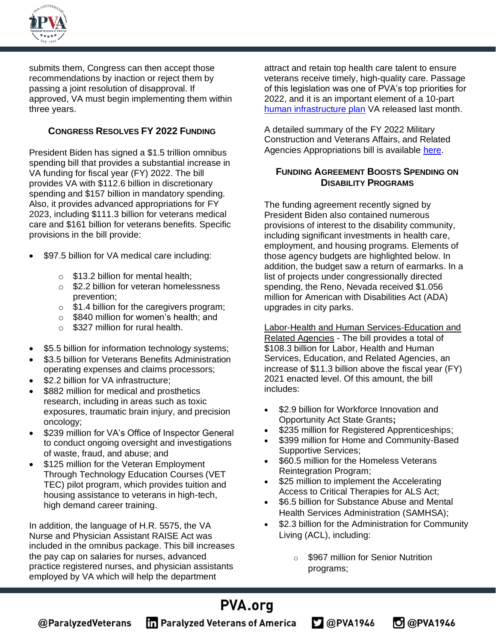

submits them, Congress can then accept those recommendations by inaction or reject them by passing a joint resolution of disapproval. If approved, VA must begin implementing them within three years.

#### **CONGRESS RESOLVES FY 2022 FUNDING**

President Biden has signed a \$1.5 trillion omnibus spending bill that provides a substantial increase in VA funding for fiscal year (FY) 2022. The bill provides VA with \$112.6 billion in discretionary spending and \$157 billion in mandatory spending. Also, it provides advanced appropriations for FY 2023, including \$111.3 billion for veterans medical care and \$161 billion for veterans benefits. Specific provisions in the bill provide:

- \$97.5 billion for VA medical care including:
	- $\circ$  \$13.2 billion for mental health;
	- o \$2.2 billion for veteran homelessness prevention;
	- o \$1.4 billion for the caregivers program;
	- o \$840 million for women's health; and
	- $\circ$  \$327 million for rural health.
- \$5.5 billion for information technology systems;
- \$3.5 billion for Veterans Benefits Administration operating expenses and claims processors;
- \$2.2 billion for VA infrastructure;
- \$882 million for medical and prosthetics research, including in areas such as toxic exposures, traumatic brain injury, and precision oncology;
- \$239 million for VA's Office of Inspector General to conduct ongoing oversight and investigations of waste, fraud, and abuse; and
- \$125 million for the Veteran Employment Through Technology Education Courses (VET TEC) pilot program, which provides tuition and housing assistance to veterans in high-tech, high demand career training.

In addition, the language of H.R. 5575, the VA Nurse and Physician Assistant RAISE Act was included in the omnibus package. This bill increases the pay cap on salaries for nurses, advanced practice registered nurses, and physician assistants employed by VA which will help the department

attract and retain top health care talent to ensure veterans receive timely, high-quality care. Passage of this legislation was one of PVA's top priorities for 2022, and it is an important element of a 10-part [human infrastructure plan](https://blogs.va.gov/VAntage/100113/february-2022-secretary-mcdonoughs-human-infrastructure-plan/) VA released last month.

A detailed summary of the FY 2022 Military Construction and Veterans Affairs, and Related Agencies Appropriations bill is available [here.](https://protect-us.mimecast.com/s/NnkWCrkn52IVgVNIylUL9?domain=appropriations.house.gov)

#### **FUNDING AGREEMENT BOOSTS SPENDING ON DISABILITY PROGRAMS**

The funding agreement recently signed by President Biden also contained numerous provisions of interest to the disability community, including significant investments in health care, employment, and housing programs. Elements of those agency budgets are highlighted below. In addition, the budget saw a return of earmarks. In a list of projects under congressionally directed spending, the Reno, Nevada received \$1.056 million for American with Disabilities Act (ADA) upgrades in city parks.

Labor-Health and Human Services-Education and Related Agencies - The bill provides a total of \$108.3 billion for Labor, Health and Human Services, Education, and Related Agencies, an increase of \$11.3 billion above the fiscal year (FY) 2021 enacted level. Of this amount, the bill includes:

- \$2.9 billion for Workforce Innovation and Opportunity Act State Grants**;**
- \$235 million for Registered Apprenticeships;
- \$399 million for Home and Community-Based Supportive Services;
- \$60.5 million for the Homeless Veterans Reintegration Program;
- \$25 million to implement the Accelerating Access to Critical Therapies for ALS Act;
- \$6.5 billion for Substance Abuse and Mental Health Services Administration (SAMHSA);
- \$2.3 billion for the Administration for Community Living (ACL), including:
	- o \$967 million for Senior Nutrition programs;

**D** @PVA1946

 $2@$ PVA1946

## **PVA.org**

@ParalyzedVeterans

**The Paralyzed Veterans of America**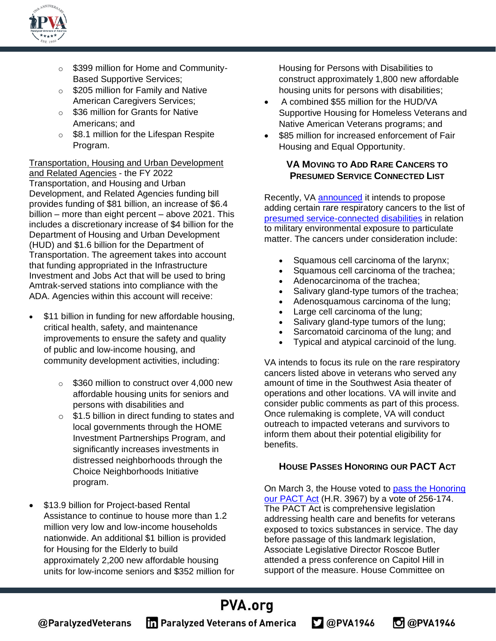

- o \$399 million for Home and Community-Based Supportive Services;
- **S205 million for Family and Native** American Caregivers Services;
- o \$36 million for Grants for Native Americans; and
- o \$8.1 million for the Lifespan Respite Program.

Transportation, Housing and Urban Development and Related Agencies - the FY 2022 Transportation, and Housing and Urban Development, and Related Agencies funding bill provides funding of \$81 billion, an increase of \$6.4 billion – more than eight percent – above 2021. This includes a discretionary increase of \$4 billion for the Department of Housing and Urban Development (HUD) and \$1.6 billion for the Department of Transportation. The agreement takes into account that funding appropriated in the Infrastructure Investment and Jobs Act that will be used to bring Amtrak-served stations into compliance with the ADA. Agencies within this account will receive:

- \$11 billion in funding for new affordable housing, critical health, safety, and maintenance improvements to ensure the safety and quality of public and low-income housing, and community development activities, including:
	- o \$360 million to construct over 4,000 new affordable housing units for seniors and persons with disabilities and
	- $\circ$  \$1.5 billion in direct funding to states and local governments through the HOME Investment Partnerships Program, and significantly increases investments in distressed neighborhoods through the Choice Neighborhoods Initiative program.
- \$13.9 billion for Project-based Rental Assistance to continue to house more than 1.2 million very low and low-income households nationwide. An additional \$1 billion is provided for Housing for the Elderly to build approximately 2,200 new affordable housing units for low-income seniors and \$352 million for

Housing for Persons with Disabilities to construct approximately 1,800 new affordable housing units for persons with disabilities;

- A combined \$55 million for the HUD/VA Supportive Housing for Homeless Veterans and Native American Veterans programs; and
- \$85 million for increased enforcement of Fair Housing and Equal Opportunity.

#### **VA MOVING TO ADD RARE CANCERS TO PRESUMED SERVICE CONNECTED LIST**

Recently, VA [announced](https://www.va.gov/OPA/PRESSREL/pressrelease.cfm?id=5768) it intends to propose adding certain rare respiratory cancers to the list of [presumed service-connected disabilities](https://www.va.gov/disability/eligibility/hazardous-materials-exposure/specific-environmental-hazards/) in relation to military environmental exposure to particulate matter. The cancers under consideration include:

- Squamous cell carcinoma of the larynx;
- Squamous cell carcinoma of the trachea;
- Adenocarcinoma of the trachea;
- Salivary gland-type tumors of the trachea;
- Adenosquamous carcinoma of the lung;
- Large cell carcinoma of the lung;
- Salivary gland-type tumors of the lung;
- Sarcomatoid carcinoma of the lung; and
- Typical and atypical carcinoid of the lung.

VA intends to focus its rule on the rare respiratory cancers listed above in veterans who served any amount of time in the Southwest Asia theater of operations and other locations. VA will invite and consider public comments as part of this process. Once rulemaking is complete, VA will conduct outreach to impacted veterans and survivors to inform them about their potential eligibility for benefits.

#### **HOUSE PASSES HONORING OUR PACT ACT**

On March 3, the House voted to [pass the Honoring](https://veterans.house.gov/news/press-releases/chairman-takanos-comprehensive-honoring-our-pact-act-passes-the-house)  [our PACT Act](https://veterans.house.gov/news/press-releases/chairman-takanos-comprehensive-honoring-our-pact-act-passes-the-house) (H.R. 3967) by a vote of 256-174. The PACT Act is comprehensive legislation addressing health care and benefits for veterans exposed to toxics substances in service. The day before passage of this landmark legislation, Associate Legislative Director Roscoe Butler attended a press conference on Capitol Hill in support of the measure. House Committee on

**D** @PVA1946

 $2@$ PVA1946

## PVA.org

@ParalyzedVeterans

**The Paralyzed Veterans of America**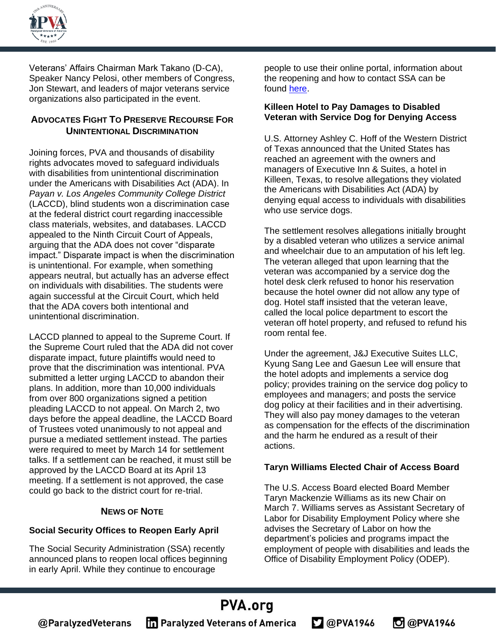

Veterans' Affairs Chairman Mark Takano (D-CA), Speaker Nancy Pelosi, other members of Congress, Jon Stewart, and leaders of major veterans service organizations also participated in the event.

#### **ADVOCATES FIGHT TO PRESERVE RECOURSE FOR UNINTENTIONAL DISCRIMINATION**

Joining forces, PVA and thousands of disability rights advocates moved to safeguard individuals with disabilities from unintentional discrimination under the Americans with Disabilities Act (ADA). In *Payan v. Los Angeles Community College District* (LACCD), blind students won a discrimination case at the federal district court regarding inaccessible class materials, websites, and databases. LACCD appealed to the Ninth Circuit Court of Appeals, arguing that the ADA does not cover "disparate impact." Disparate impact is when the discrimination is unintentional. For example, when something appears neutral, but actually has an adverse effect on individuals with disabilities. The students were again successful at the Circuit Court, which held that the ADA covers both intentional and unintentional discrimination.

LACCD planned to appeal to the Supreme Court. If the Supreme Court ruled that the ADA did not cover disparate impact, future plaintiffs would need to prove that the discrimination was intentional. PVA submitted a letter urging LACCD to abandon their plans. In addition, more than 10,000 individuals from over 800 organizations signed a petition pleading LACCD to not appeal. On March 2, two days before the appeal deadline, the LACCD Board of Trustees voted unanimously to not appeal and pursue a mediated settlement instead. The parties were required to meet by March 14 for settlement talks. If a settlement can be reached, it must still be approved by the LACCD Board at its April 13 meeting. If a settlement is not approved, the case could go back to the district court for re-trial.

#### **NEWS OF NOTE**

#### **Social Security Offices to Reopen Early April**

The Social Security Administration (SSA) recently announced plans to reopen local offices beginning in early April. While they continue to encourage

people to use their online portal, information about the reopening and how to contact SSA can be found [here.](https://www.ssa.gov/coronavirus/gethelp/)

#### **Killeen Hotel to Pay Damages to Disabled Veteran with Service Dog for Denying Access**

U.S. Attorney Ashley C. Hoff of the Western District of Texas announced that the United States has reached an agreement with the owners and managers of Executive Inn & Suites, a hotel in Killeen, Texas, to resolve allegations they violated the Americans with Disabilities Act (ADA) by denying equal access to individuals with disabilities who use service dogs.

The settlement resolves allegations initially brought by a disabled veteran who utilizes a service animal and wheelchair due to an amputation of his left leg. The veteran alleged that upon learning that the veteran was accompanied by a service dog the hotel desk clerk refused to honor his reservation because the hotel owner did not allow any type of dog. Hotel staff insisted that the veteran leave, called the local police department to escort the veteran off hotel property, and refused to refund his room rental fee.

Under the agreement, J&J Executive Suites LLC, Kyung Sang Lee and Gaesun Lee will ensure that the hotel adopts and implements a service dog policy; provides training on the service dog policy to employees and managers; and posts the service dog policy at their facilities and in their advertising. They will also pay money damages to the veteran as compensation for the effects of the discrimination and the harm he endured as a result of their actions.

#### **Taryn Williams Elected Chair of Access Board**

The U.S. Access Board elected Board Member Taryn Mackenzie Williams as its new Chair on March 7. Williams serves as Assistant Secretary of Labor for Disability Employment Policy where she advises the Secretary of Labor on how the department's policies and programs impact the employment of people with disabilities and leads the Office of Disability Employment Policy (ODEP).

**O** @PVA1946

#### PVA.org @ParalyzedVeterans **The Paralyzed Veterans of America**  $2$  @PVA1946